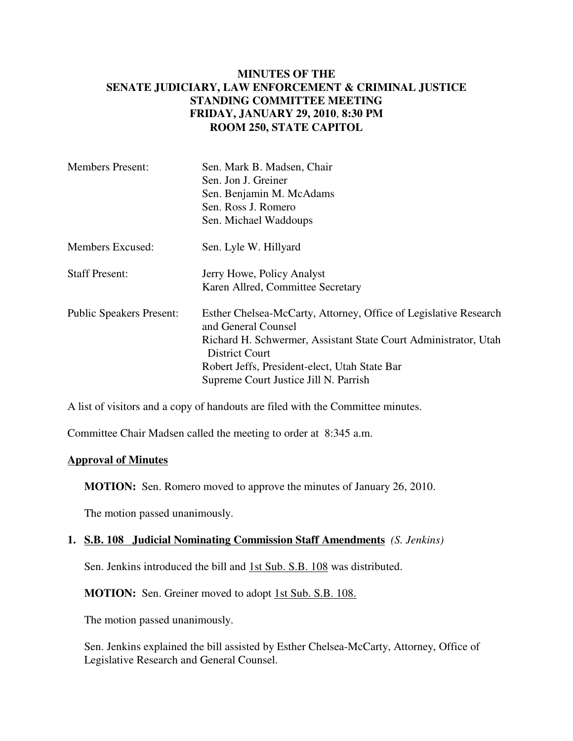## **MINUTES OF THE SENATE JUDICIARY, LAW ENFORCEMENT & CRIMINAL JUSTICE STANDING COMMITTEE MEETING FRIDAY, JANUARY 29, 2010**, **8:30 PM ROOM 250, STATE CAPITOL**

| <b>Members Present:</b>         | Sen. Mark B. Madsen, Chair                                                               |
|---------------------------------|------------------------------------------------------------------------------------------|
|                                 | Sen. Jon J. Greiner                                                                      |
|                                 | Sen. Benjamin M. McAdams                                                                 |
|                                 | Sen. Ross J. Romero                                                                      |
|                                 | Sen. Michael Waddoups                                                                    |
| Members Excused:                | Sen. Lyle W. Hillyard                                                                    |
| <b>Staff Present:</b>           | Jerry Howe, Policy Analyst                                                               |
|                                 | Karen Allred, Committee Secretary                                                        |
| <b>Public Speakers Present:</b> | Esther Chelsea-McCarty, Attorney, Office of Legislative Research<br>and General Counsel  |
|                                 | Richard H. Schwermer, Assistant State Court Administrator, Utah<br><b>District Court</b> |
|                                 | Robert Jeffs, President-elect, Utah State Bar                                            |
|                                 | Supreme Court Justice Jill N. Parrish                                                    |

A list of visitors and a copy of handouts are filed with the Committee minutes.

Committee Chair Madsen called the meeting to order at 8:345 a.m.

## **Approval of Minutes**

**MOTION:** Sen. Romero moved to approve the minutes of January 26, 2010.

The motion passed unanimously.

## **1. S.B. 108 Judicial Nominating Commission Staff Amendments** *(S. Jenkins)*

Sen. Jenkins introduced the bill and 1st Sub. S.B. 108 was distributed.

**MOTION:** Sen. Greiner moved to adopt 1st Sub. S.B. 108.

The motion passed unanimously.

Sen. Jenkins explained the bill assisted by Esther Chelsea-McCarty, Attorney, Office of Legislative Research and General Counsel.